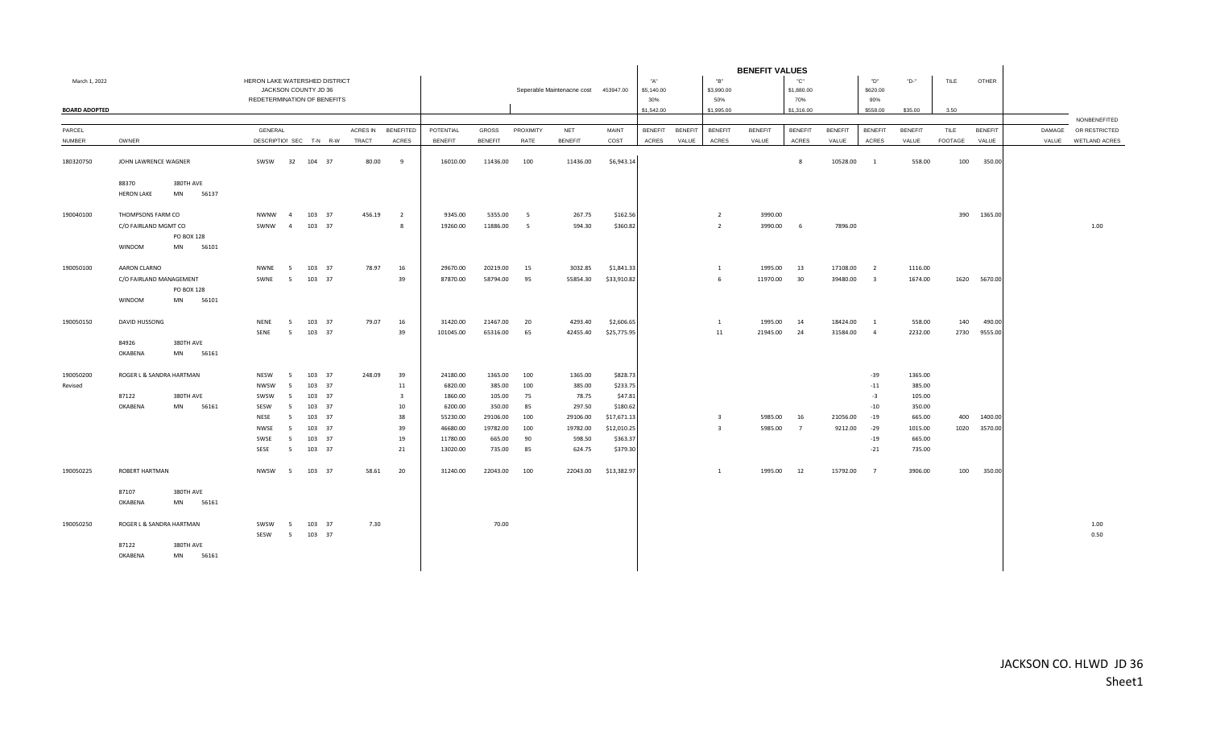|                      |                               |             |                             |                 |                         |              |                  |                |                | <b>BENEFIT VALUES</b> |                                      |              |                |                |                |                |                 |                |                         |                |                |                |        |                     |
|----------------------|-------------------------------|-------------|-----------------------------|-----------------|-------------------------|--------------|------------------|----------------|----------------|-----------------------|--------------------------------------|--------------|----------------|----------------|----------------|----------------|-----------------|----------------|-------------------------|----------------|----------------|----------------|--------|---------------------|
| March 1, 2022        | HERON LAKE WATERSHED DISTRICT |             |                             |                 |                         |              |                  |                |                |                       |                                      | "A"          |                | "B"            |                | "С"            |                 | "D"            | "D-"                    | TILE           | <b>OTHER</b>   |                |        |                     |
|                      |                               |             |                             |                 | JACKSON COUNTY JD 36    |              |                  |                |                |                       | Seperable Maintenacne cost 453947.00 |              | \$5,140.00     |                | \$3,990.00     |                | \$1,880.00      |                | \$620.00                |                |                |                |        |                     |
|                      |                               |             | REDETERMINATION OF BENEFITS |                 |                         |              |                  |                |                |                       |                                      |              | 30%            |                | 50%            |                | 70%             |                | 90%                     |                |                |                |        |                     |
| <b>BOARD ADOPTED</b> |                               |             |                             |                 |                         |              |                  |                |                |                       |                                      |              | \$1,542.00     |                | \$1,995.00     |                | \$1,316.00      |                | \$558.00                | \$35.00        | 3.50           |                |        |                     |
|                      |                               |             |                             |                 |                         |              |                  |                |                |                       |                                      |              |                |                |                |                |                 |                |                         |                |                |                |        | NONBENEFITED        |
| PARCEL               |                               |             | <b>GENERAL</b>              |                 |                         | ACRES IN     | <b>BENEFITED</b> | POTENTIAL      | <b>GROSS</b>   | PROXIMITY             | <b>NET</b>                           | <b>MAINT</b> | <b>BENEFIT</b> | <b>BENEFIT</b> | <b>BENEFIT</b> | <b>BENEFIT</b> | <b>BENEFIT</b>  | <b>BENEFIT</b> | <b>BENEFIT</b>          | <b>BENEFIT</b> | TILE           | <b>BENEFIT</b> | DAMAGE | OR RESTRICTED       |
| <b>NUMBER</b>        | OWNER                         |             |                             |                 | DESCRIPTIOI SEC T-N R-W | <b>TRACT</b> | <b>ACRES</b>     | <b>BENEFIT</b> | <b>BENEFIT</b> | RATE                  | <b>BENEFIT</b>                       | COST         | <b>ACRES</b>   | VALUE          | ACRES          | VALUE          | <b>ACRES</b>    | VALUE          | <b>ACRES</b>            | VALUE          | <b>FOOTAGE</b> | VALUE          |        | VALUE WETLAND ACRES |
| 180320750            | JOHN LAWRENCE WAGNER          |             | SWSW                        | 32              | 104 37                  | 80.00        | 9                | 16010.00       | 11436.00       | 100                   | 11436.00                             | \$6,943.14   |                |                |                |                | 8               | 10528.00       | $\overline{1}$          | 558.00         | 100            | 350.00         |        |                     |
|                      | 88370                         | 380TH AVE   |                             |                 |                         |              |                  |                |                |                       |                                      |              |                |                |                |                |                 |                |                         |                |                |                |        |                     |
|                      | <b>HERON LAKE</b>             | MN<br>56137 |                             |                 |                         |              |                  |                |                |                       |                                      |              |                |                |                |                |                 |                |                         |                |                |                |        |                     |
|                      |                               |             |                             |                 |                         |              |                  |                |                |                       |                                      |              |                |                |                |                |                 |                |                         |                |                |                |        |                     |
| 190040100            | THOMPSONS FARM CO             |             | <b>NWNW</b>                 | $\overline{4}$  | 103 37                  | 456.19       | $\overline{2}$   | 9345.00        | 5355.00        | - 5                   | 267.75                               | \$162.56     |                |                | $\overline{2}$ | 3990.00        |                 |                |                         |                | 390            | 1365.00        |        |                     |
|                      | C/O FAIRLAND MGMT CO          |             | SWNW                        | $\overline{4}$  | 103 37                  |              | 8                | 19260.00       | 11886.00       | 5                     | 594.30                               | \$360.82     |                |                | 2              | 3990.00        | -6              | 7896.00        |                         |                |                |                |        | 1.00                |
|                      |                               | PO BOX 128  |                             |                 |                         |              |                  |                |                |                       |                                      |              |                |                |                |                |                 |                |                         |                |                |                |        |                     |
|                      | WINDOM                        | 56101<br>MN |                             |                 |                         |              |                  |                |                |                       |                                      |              |                |                |                |                |                 |                |                         |                |                |                |        |                     |
| 190050100            | AARON CLARNO                  |             | NWNE                        | 5               | 103 37                  | 78.97        | 16               | 29670.00       | 20219.00       | 15                    | 3032.85                              | \$1,841.33   |                |                | $\overline{1}$ | 1995.00        | 13              | 17108.00       | $\overline{2}$          | 1116.00        |                |                |        |                     |
|                      | C/O FAIRLAND MANAGEMENT       |             | SWNE                        | 5               | 103 37                  |              | 39               | 87870.00       | 58794.00       | 95                    | 55854.30                             | \$33,910.82  |                |                | 6              | 11970.00       | 30              | 39480.00       | $\overline{\mathbf{3}}$ | 1674.00        |                | 1620 5670.00   |        |                     |
|                      |                               | PO BOX 128  |                             |                 |                         |              |                  |                |                |                       |                                      |              |                |                |                |                |                 |                |                         |                |                |                |        |                     |
|                      | WINDOM                        | 56101<br>MN |                             |                 |                         |              |                  |                |                |                       |                                      |              |                |                |                |                |                 |                |                         |                |                |                |        |                     |
|                      |                               |             |                             |                 |                         |              |                  |                |                |                       |                                      |              |                |                |                |                |                 |                |                         |                |                |                |        |                     |
| 190050150            | DAVID HUSSONG                 |             | NENE                        | 5               | 103 37                  | 79.07        | 16               | 31420.00       | 21467.00       | 20                    | 4293.40                              | \$2,606.65   |                |                | 1              | 1995.00        | 14              | 18424.00       | <sup>1</sup>            | 558.00         | 140            | 490.00         |        |                     |
|                      |                               |             | SENE                        | $5\overline{5}$ | 103 37                  |              | 39               | 101045.00      | 65316.00       | 65                    | 42455.40                             | \$25,775.95  |                |                | 11             | 21945.00       | 24              | 31584.00       | $\overline{4}$          | 2232.00        | 2730           | 9555.00        |        |                     |
|                      | 84926                         | 380TH AVE   |                             |                 |                         |              |                  |                |                |                       |                                      |              |                |                |                |                |                 |                |                         |                |                |                |        |                     |
|                      | OKABENA                       | MN<br>56161 |                             |                 |                         |              |                  |                |                |                       |                                      |              |                |                |                |                |                 |                |                         |                |                |                |        |                     |
| 190050200            | ROGER L & SANDRA HARTMAN      |             | NESW                        | 5               | 103 37                  | 248.09       | 39               | 24180.00       | 1365.00        | 100                   | 1365.00                              | \$828.73     |                |                |                |                |                 |                | $-39$                   | 1365.00        |                |                |        |                     |
| Revised              |                               |             | <b>NWSW</b>                 | - 5             | 103 37                  |              | 11               | 6820.00        | 385.00         | 100                   | 385.00                               | \$233.75     |                |                |                |                |                 |                | $-11$                   | 385.00         |                |                |        |                     |
|                      | 87122                         | 380TH AVE   | SWSW                        | -5              | 103 37                  |              | 3                | 1860.00        | 105.00         | 75                    | 78.75                                | \$47.81      |                |                |                |                |                 |                | $-3$                    | 105.00         |                |                |        |                     |
|                      | OKABENA                       | MN<br>56161 | SESW                        | 5               | 103 37                  |              | 10               | 6200.00        | 350.00         | 85                    | 297.50                               | \$180.62     |                |                |                |                |                 |                | $-10$                   | 350.00         |                |                |        |                     |
|                      |                               |             | NESE                        | - 5             | 103 37                  |              | 38               | 55230.00       | 29106.00       | 100                   | 29106.00                             | \$17,671.13  |                |                | $\mathbf{R}$   | 5985.00        | 16              | 21056.00       | $-19$                   | 665.00         | 400            | 1400.00        |        |                     |
|                      |                               |             | NWSE                        | 5               | 103 37                  |              | 39               | 46680.00       | 19782.00       | 100                   | 19782.00                             | \$12,010.25  |                |                | $\overline{3}$ | 5985.00        | $7\overline{ }$ | 9212.00        | $-29$                   | 1015.00        | 1020           | 3570.00        |        |                     |
|                      |                               |             | SWSE                        | 5               | 103 37                  |              | 19               | 11780.00       | 665.00         | 90                    | 598.50                               | \$363.37     |                |                |                |                |                 |                | $-19$                   | 665.00         |                |                |        |                     |
|                      |                               |             | SESE                        | 5               | 103 37                  |              | 21               | 13020.00       | 735.00         | 85                    | 624.75                               | \$379.30     |                |                |                |                |                 |                | $-21$                   | 735.00         |                |                |        |                     |
| 190050225            | <b>ROBERT HARTMAN</b>         |             | <b>NWSW</b>                 | 5               | 103 37                  | 58.61        | 20               | 31240.00       | 22043.00       | 100                   | 22043.00                             | \$13,382.97  |                |                | $\mathbf{1}$   | 1995.00        | 12              | 15792.00       | $\overline{7}$          | 3906.00        | 100            | 350.00         |        |                     |
|                      | 87107                         | 380TH AVE   |                             |                 |                         |              |                  |                |                |                       |                                      |              |                |                |                |                |                 |                |                         |                |                |                |        |                     |
|                      | OKABENA                       | 56161<br>MN |                             |                 |                         |              |                  |                |                |                       |                                      |              |                |                |                |                |                 |                |                         |                |                |                |        |                     |
|                      |                               |             |                             |                 |                         |              |                  |                |                |                       |                                      |              |                |                |                |                |                 |                |                         |                |                |                |        |                     |
| 190050250            | ROGER L & SANDRA HARTMAN      |             | SWSW                        | 5               | 103 37                  | 7.30         |                  |                | 70.00          |                       |                                      |              |                |                |                |                |                 |                |                         |                |                |                |        | 1.00                |
|                      |                               |             | SESW                        | 5 <sup>5</sup>  | 103 37                  |              |                  |                |                |                       |                                      |              |                |                |                |                |                 |                |                         |                |                |                |        | 0.50                |
|                      | 87122                         | 380TH AVE   |                             |                 |                         |              |                  |                |                |                       |                                      |              |                |                |                |                |                 |                |                         |                |                |                |        |                     |
|                      | OKABENA                       | MN<br>56161 |                             |                 |                         |              |                  |                |                |                       |                                      |              |                |                |                |                |                 |                |                         |                |                |                |        |                     |
|                      |                               |             |                             |                 |                         |              |                  |                |                |                       |                                      |              |                |                |                |                |                 |                |                         |                |                |                |        |                     |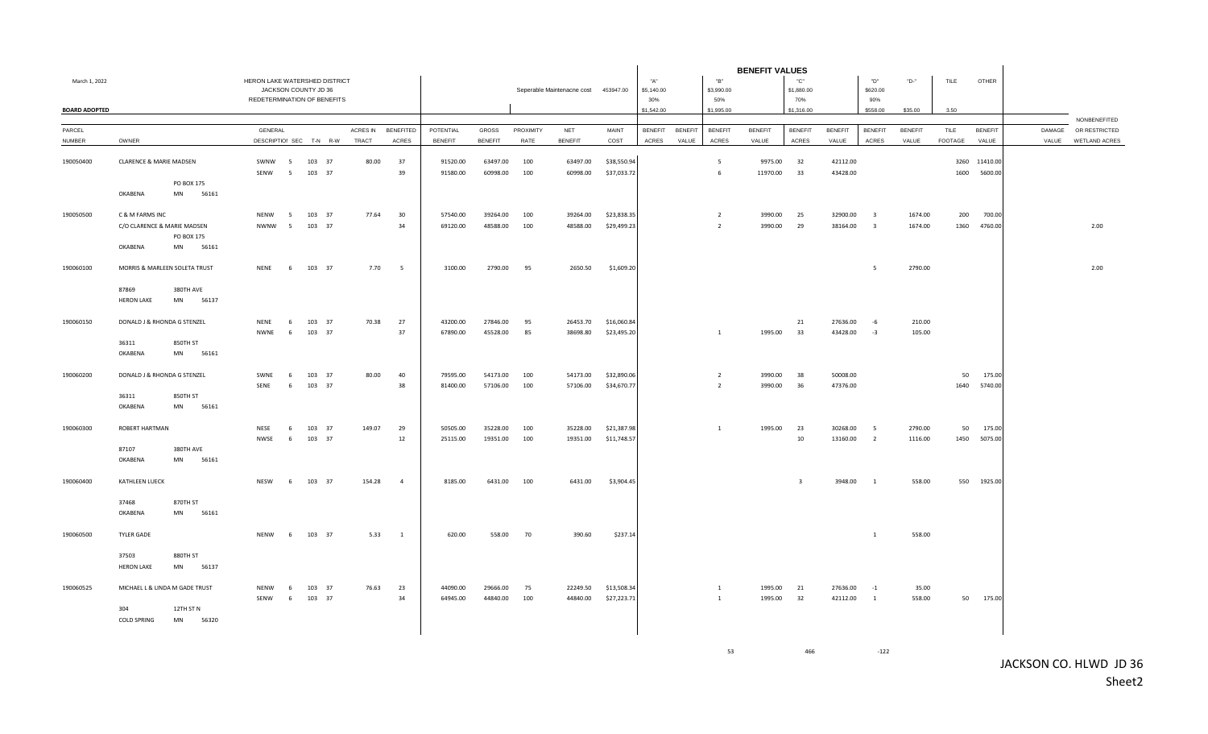|                         |                            |                                |                               |                |                         |          |                          |                | <b>BENEFIT VALUES</b> |           |                                      |             |                |                |                 |                |                         |                |                         |                         |                        |                |       |                                      |
|-------------------------|----------------------------|--------------------------------|-------------------------------|----------------|-------------------------|----------|--------------------------|----------------|-----------------------|-----------|--------------------------------------|-------------|----------------|----------------|-----------------|----------------|-------------------------|----------------|-------------------------|-------------------------|------------------------|----------------|-------|--------------------------------------|
| March 1, 2022           |                            |                                | HERON LAKE WATERSHED DISTRICT |                |                         |          |                          |                |                       |           |                                      |             | "A"            |                | "B"             |                | "C"                     |                | "D"                     | "D-"                    | TILE                   | <b>OTHER</b>   |       |                                      |
|                         |                            |                                |                               |                | JACKSON COUNTY JD 36    |          |                          |                |                       |           | Seperable Maintenacne cost 453947.00 |             | \$5,140.00     |                | \$3,990.00      |                | \$1,880.00              |                | \$620.00                |                         |                        |                |       |                                      |
|                         |                            |                                | REDETERMINATION OF BENEFITS   |                |                         |          |                          |                |                       |           |                                      |             | 30%            |                | 50%             |                | 70%                     |                | 90%                     |                         |                        |                |       |                                      |
| <b>BOARD ADOPTED</b>    |                            |                                |                               |                |                         |          |                          |                |                       |           |                                      |             | \$1,542.00     |                | \$1,995.00      |                | \$1,316.00              |                | \$558.00                | \$35.00                 | 3.50                   |                |       |                                      |
|                         |                            |                                | GENERAL                       |                |                         | ACRES IN | <b>BENEFITED</b>         | POTENTIAL      | <b>GROSS</b>          | PROXIMITY |                                      | MAINT       | <b>BENEFIT</b> | <b>BENEFIT</b> | <b>BENEFIT</b>  | <b>BENEFIT</b> | <b>BENEFIT</b>          | <b>BENEFIT</b> |                         |                         |                        | <b>BENEFIT</b> |       | NONBENEFITED<br>DAMAGE OR RESTRICTED |
| PARCEL<br><b>NUMBER</b> | OWNER                      |                                |                               |                | DESCRIPTIOI SEC T-N R-W | TRACT    | ACRES                    | <b>BENEFIT</b> | <b>BENEFIT</b>        | RATE      | <b>NET</b><br><b>BENEFIT</b>         | COST        | ACRES          | VALUE          | ACRES           | VALUE          | ACRES                   | VALUE          | <b>BENEFIT</b><br>ACRES | <b>BENEFIT</b><br>VALUE | TILE<br><b>FOOTAGE</b> | VALUE          | VALUE | <b>WETLAND ACRES</b>                 |
|                         |                            |                                |                               |                |                         |          |                          |                |                       |           |                                      |             |                |                |                 |                |                         |                |                         |                         |                        |                |       |                                      |
| 190050400               | CLARENCE & MARIE MADSEN    |                                | SWNW                          | 5 <sub>5</sub> | 103 37                  | 80.00    | 37                       | 91520.00       | 63497.00              | 100       | 63497.00                             | \$38,550.94 |                |                | $5\overline{5}$ | 9975.00        | 32                      | 42112.00       |                         |                         |                        | 3260 11410.00  |       |                                      |
|                         |                            |                                | SENW                          | 5              | 103 37                  |          | 39                       | 91580.00       | 60998.00              | 100       | 60998.00                             | \$37,033.72 |                |                | 6               | 11970.00       | 33                      | 43428.00       |                         |                         | 1600                   | 5600.00        |       |                                      |
|                         |                            | PO BOX 175                     |                               |                |                         |          |                          |                |                       |           |                                      |             |                |                |                 |                |                         |                |                         |                         |                        |                |       |                                      |
|                         | OKABENA                    | <b>MN</b><br>56161             |                               |                |                         |          |                          |                |                       |           |                                      |             |                |                |                 |                |                         |                |                         |                         |                        |                |       |                                      |
|                         |                            |                                |                               |                |                         |          |                          |                |                       |           |                                      |             |                |                |                 |                |                         |                |                         |                         |                        |                |       |                                      |
| 190050500               | C & M FARMS INC            |                                | <b>NENW</b>                   | 5              | 103 37                  | 77.64    | 30                       | 57540.00       | 39264.00              | 100       | 39264.00                             | \$23,838.35 |                |                | $\overline{z}$  | 3990.00        | 25                      | 32900.00       | $\overline{\mathbf{3}}$ | 1674.00                 | 200                    | 700.00         |       |                                      |
|                         |                            | C/O CLARENCE & MARIE MADSEN    | <b>NWNW</b>                   | $5^{\circ}$    | 103 37                  |          | 34                       | 69120.00       | 48588.00              | 100       | 48588.00                             | \$29,499.23 |                |                | $\overline{2}$  | 3990.00        | 29                      | 38164.00       | $\overline{\mathbf{3}}$ | 1674.00                 | 1360                   | 4760.00        |       | 2.00                                 |
|                         |                            | PO BOX 175                     |                               |                |                         |          |                          |                |                       |           |                                      |             |                |                |                 |                |                         |                |                         |                         |                        |                |       |                                      |
|                         | OKABENA                    | MN<br>56161                    |                               |                |                         |          |                          |                |                       |           |                                      |             |                |                |                 |                |                         |                |                         |                         |                        |                |       |                                      |
| 190060100               |                            | MORRIS & MARLEEN SOLETA TRUST  | <b>NENE</b>                   | 6              | 103 37                  | 7.70     | $\overline{\phantom{0}}$ | 3100.00        | 2790.00               | 95        | 2650.50                              | \$1,609.20  |                |                |                 |                |                         |                | 5                       | 2790.00                 |                        |                |       | 2.00                                 |
|                         | 87869                      | 380TH AVE                      |                               |                |                         |          |                          |                |                       |           |                                      |             |                |                |                 |                |                         |                |                         |                         |                        |                |       |                                      |
|                         | <b>HERON LAKE</b>          | MN<br>56137                    |                               |                |                         |          |                          |                |                       |           |                                      |             |                |                |                 |                |                         |                |                         |                         |                        |                |       |                                      |
| 190060150               |                            | DONALD J & RHONDA G STENZEL    | <b>NFNF</b>                   | 6              | 103 37                  | 70.38    | 27                       | 43200.00       | 27846.00              | 95        | 26453.70                             | \$16,060.84 |                |                |                 |                | 21                      | 27636.00       | $-6$                    | 210.00                  |                        |                |       |                                      |
|                         |                            |                                | NWNE                          | 6              | 103 37                  |          | 37                       | 67890.00       | 45528.00              | 85        | 38698.80                             | \$23,495.20 |                |                | $\overline{1}$  | 1995.00        | 33                      | 43428.00       | $-3$                    | 105.00                  |                        |                |       |                                      |
|                         | 36311                      | 850TH ST                       |                               |                |                         |          |                          |                |                       |           |                                      |             |                |                |                 |                |                         |                |                         |                         |                        |                |       |                                      |
|                         | OKABENA                    | 56161<br>MN                    |                               |                |                         |          |                          |                |                       |           |                                      |             |                |                |                 |                |                         |                |                         |                         |                        |                |       |                                      |
|                         |                            |                                |                               |                |                         |          |                          |                |                       |           |                                      |             |                |                |                 |                |                         |                |                         |                         |                        |                |       |                                      |
| 190060200               |                            | DONALD J & RHONDA G STENZEL    | SWNE                          | 6              | 103 37                  | 80.00    | 40                       | 79595.00       | 54173.00              | 100       | 54173.00                             | \$32,890.06 |                |                | $\overline{2}$  | 3990.00        | 38                      | 50008.00       |                         |                         | 50                     | 175.00         |       |                                      |
|                         | 36311                      | 850TH ST                       | SENE                          | 6              | 103 37                  |          | 38                       | 81400.00       | 57106.00              | 100       | 57106.00                             | \$34,670.77 |                |                | $\overline{2}$  | 3990.00        | 36                      | 47376.00       |                         |                         | 1640                   | 5740.00        |       |                                      |
|                         | OKABENA                    | MN<br>56161                    |                               |                |                         |          |                          |                |                       |           |                                      |             |                |                |                 |                |                         |                |                         |                         |                        |                |       |                                      |
|                         |                            |                                |                               |                |                         |          |                          |                |                       |           |                                      |             |                |                |                 |                |                         |                |                         |                         |                        |                |       |                                      |
| 190060300               | ROBERT HARTMAN             |                                | NESE                          | - 6            | 103 37                  | 149.07   | 29                       | 50505.00       | 35228.00              | 100       | 35228.00                             | \$21,387.98 |                |                | <sup>1</sup>    | 1995.00        | 23                      | 30268.00       | $5^{\circ}$             | 2790.00                 | 50                     | 175.00         |       |                                      |
|                         |                            |                                | NWSE                          | 6              | 103 37                  |          | 12                       | 25115.00       | 19351.00              | 100       | 19351.00                             | \$11,748.57 |                |                |                 |                | 10                      | 13160.00       | $\overline{2}$          | 1116.00                 | 1450                   | 5075.00        |       |                                      |
|                         | 87107                      | 380TH AVE                      |                               |                |                         |          |                          |                |                       |           |                                      |             |                |                |                 |                |                         |                |                         |                         |                        |                |       |                                      |
|                         | OKABENA                    | MN<br>56161                    |                               |                |                         |          |                          |                |                       |           |                                      |             |                |                |                 |                |                         |                |                         |                         |                        |                |       |                                      |
| 190060400               | KATHLEEN LUECK             |                                | NESW                          | 6              | 103 37                  | 154.28   | $\overline{4}$           | 8185.00        | 6431.00               | 100       | 6431.00                              | \$3,904.45  |                |                |                 |                | $\overline{\mathbf{3}}$ | 3948.00        | $\overline{1}$          | 558.00                  |                        | 550 1925.00    |       |                                      |
|                         | 37468                      | 870TH ST                       |                               |                |                         |          |                          |                |                       |           |                                      |             |                |                |                 |                |                         |                |                         |                         |                        |                |       |                                      |
|                         | OKABENA                    | MN<br>56161                    |                               |                |                         |          |                          |                |                       |           |                                      |             |                |                |                 |                |                         |                |                         |                         |                        |                |       |                                      |
|                         |                            |                                |                               |                |                         |          |                          |                |                       |           |                                      |             |                |                |                 |                |                         |                |                         |                         |                        |                |       |                                      |
| 190060500               | <b>TYLER GADE</b>          |                                | <b>NENW</b>                   | 6              | 103 37                  | 5.33     | $\overline{1}$           | 620.00         | 558.00                | 70        | 390.60                               | \$237.14    |                |                |                 |                |                         |                | <sup>1</sup>            | 558.00                  |                        |                |       |                                      |
|                         | 37503<br><b>HERON LAKE</b> | 880TH ST<br>MN<br>56137        |                               |                |                         |          |                          |                |                       |           |                                      |             |                |                |                 |                |                         |                |                         |                         |                        |                |       |                                      |
| 190060525               |                            | MICHAEL L & LINDA M GADE TRUST | <b>NENW</b>                   | - 6            | 103 37                  | 76.63    | 23                       | 44090.00       | 29666.00              | 75        | 22249.50                             | \$13,508.34 |                |                | $\overline{1}$  | 1995.00        | 21                      | 27636.00       | $-1$                    | 35.00                   |                        |                |       |                                      |
|                         |                            |                                | SENW                          | 6              | 103 37                  |          | 34                       | 64945.00       | 44840.00              | 100       | 44840.00                             | \$27,223.71 |                |                | $\mathbf{1}$    | 1995.00        | 32                      | 42112.00       | $\mathbf{1}$            | 558.00                  | 50                     | 175.00         |       |                                      |
|                         | 304                        | 12TH ST N                      |                               |                |                         |          |                          |                |                       |           |                                      |             |                |                |                 |                |                         |                |                         |                         |                        |                |       |                                      |
|                         | <b>COLD SPRING</b>         | MN<br>56320                    |                               |                |                         |          |                          |                |                       |           |                                      |             |                |                |                 |                |                         |                |                         |                         |                        |                |       |                                      |

53 466 -122

JACKSON CO. HLWD JD 36 Sheet2